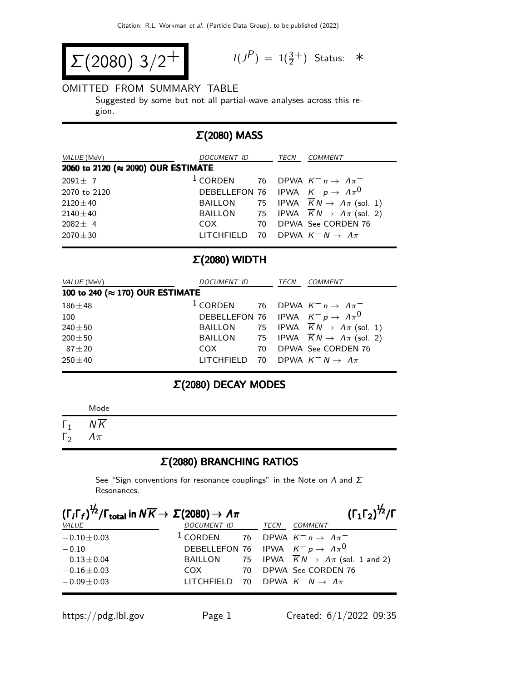$$
\Sigma(2080) 3/2^+
$$

$$
I(J^P) = 1(\frac{3}{2}^+) \quad \text{Status:} \quad *
$$

#### OMITTED FROM SUMMARY TABLE

Suggested by some but not all partial-wave analyses across this region.

# Σ(2080) MASS

| <i>VALUE</i> (MeV)                 | DOCUMENT ID                                          |  | TECN | COMMENT                                                          |  |  |
|------------------------------------|------------------------------------------------------|--|------|------------------------------------------------------------------|--|--|
| 2060 to 2120 (≈ 2090) OUR ESTIMATE |                                                      |  |      |                                                                  |  |  |
| $2091 \pm 7$                       |                                                      |  |      | <sup>1</sup> CORDEN 76 DPWA $K^- n \rightarrow \Lambda \pi^-$    |  |  |
| 2070 to 2120                       | DEBELLEFON 76 IPWA $K^- p \rightarrow \Lambda \pi^0$ |  |      |                                                                  |  |  |
| $2120 + 40$                        |                                                      |  |      | BAILLON 75 IPWA $\overline{K}N \rightarrow \Lambda \pi$ (sol. 1) |  |  |
| $2140 \pm 40$                      |                                                      |  |      | BAILLON 75 IPWA $\overline{K}N \rightarrow \Lambda \pi$ (sol. 2) |  |  |
| $2082 \pm 4$                       | COX                                                  |  |      | 70 DPWA See CORDEN 76                                            |  |  |
| $2070 \pm 30$                      | LITCHFIELD 70 DPWA $K^- N \rightarrow \Lambda \pi$   |  |      |                                                                  |  |  |

#### Σ(2080) WIDTH

| VALUE (MeV)                              | DOCUMENT ID                                                   |  | TECN | <b>COMMENT</b>                                                   |  |
|------------------------------------------|---------------------------------------------------------------|--|------|------------------------------------------------------------------|--|
| 100 to 240 ( $\approx$ 170) OUR ESTIMATE |                                                               |  |      |                                                                  |  |
| $186 \pm 48$                             | <sup>1</sup> CORDEN 76 DPWA $K^- n \rightarrow \Lambda \pi^-$ |  |      |                                                                  |  |
| 100                                      |                                                               |  |      | DEBELLEFON 76 IPWA $K^- p \rightarrow \Lambda \pi^0$             |  |
| $240 + 50$                               |                                                               |  |      | BAILLON 75 IPWA $\overline{K}N \rightarrow \Lambda \pi$ (sol. 1) |  |
| $200 \pm 50$                             |                                                               |  |      | BAILLON 75 IPWA $\overline{K}N \rightarrow \Lambda \pi$ (sol. 2) |  |
| $87 + 20$                                | COX<br>70                                                     |  |      | DPWA See CORDEN 76                                               |  |
| $250 + 40$                               | LITCHFIELD 70 DPWA $K^- N \rightarrow \Lambda \pi$            |  |      |                                                                  |  |

# Σ(2080) DECAY MODES

|                          | Mode                            |  |
|--------------------------|---------------------------------|--|
| $\Gamma_1$<br>$\Gamma_2$ | $N\overline{K}$<br>$\Lambda\pi$ |  |

# Σ(2080) BRANCHING RATIOS

See "Sign conventions for resonance couplings" in the Note on  $\Lambda$  and  $\Sigma$ Resonances.

| $(\Gamma_i \Gamma_f)^{\frac{1}{2}} / \Gamma_{\text{total}}$ in $N \overline{K} \rightarrow \Sigma (2080) \rightarrow \Lambda \pi$ |                                                               |  | $(\Gamma_1 \Gamma_2)^{\frac{1}{2}} / \Gamma$                           |
|-----------------------------------------------------------------------------------------------------------------------------------|---------------------------------------------------------------|--|------------------------------------------------------------------------|
| <i>VALUE</i>                                                                                                                      | DOCUMENT ID TECN COMMENT                                      |  |                                                                        |
| $-0.10 \pm 0.03$                                                                                                                  | <sup>1</sup> CORDEN 76 DPWA $K^- n \rightarrow \Lambda \pi^-$ |  |                                                                        |
| $-0.10$                                                                                                                           | DEBELLEFON 76 IPWA $K^- p \rightarrow \Lambda \pi^0$          |  |                                                                        |
| $-0.13 \pm 0.04$                                                                                                                  |                                                               |  | BAILLON 75 IPWA $\overline{K}N \rightarrow \Lambda \pi$ (sol. 1 and 2) |
| $-0.16 \pm 0.03$                                                                                                                  | $COX$ 70                                                      |  | DPWA See CORDEN 76                                                     |
| $-0.09 \pm 0.03$                                                                                                                  | LITCHFIELD 70                                                 |  | DPWA $K^- N \to \Lambda \pi$                                           |
|                                                                                                                                   |                                                               |  |                                                                        |